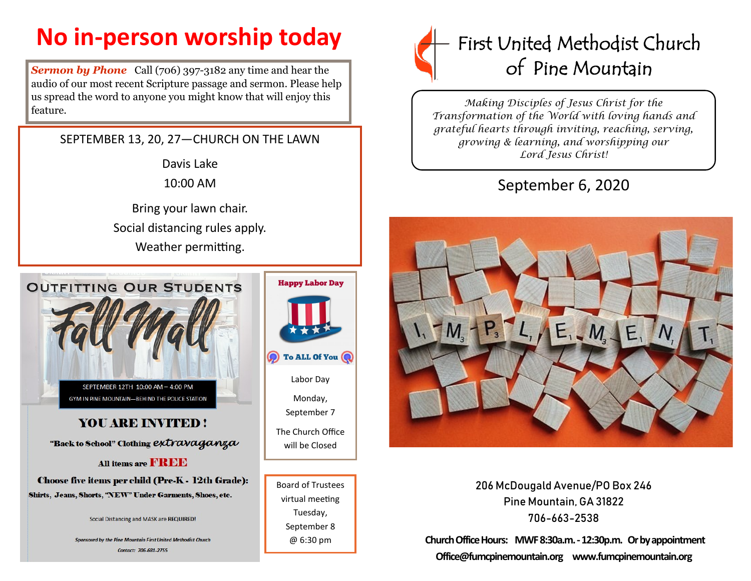# **No in-person worship today**

*Sermon by Phone* Call (706) 397-3182 any time and hear the audio of our most recent Scripture passage and sermon. Please help us spread the word to anyone you might know that will enjoy this feature.

SEPTEMBER 13, 20, 27—CHURCH ON THE LAWN

Davis Lake 10:00 AM

Bring your lawn chair. Social distancing rules apply. Weather permitting.



**Sponsored by the Pine Mountain First United Methodist Church** Contact: 706-681-2755



Board of Trustees virtual meeting Tuesday, September 8 @ 6:30 pm



*Making Disciples of Jesus Christ for the Transformation of the World with loving hands and grateful hearts through inviting, reaching, serving, growing & learning, and worshipping our Lord Jesus Christ!* 

## September 6, 2020



206 McDougald Avenue/PO Box 246 Pine Mountain, GA 31822 706-663-2538

**Church Office Hours: MWF 8:30a.m. -12:30p.m. Or by appointment Office@fumcpinemountain.org www.fumcpinemountain.org**